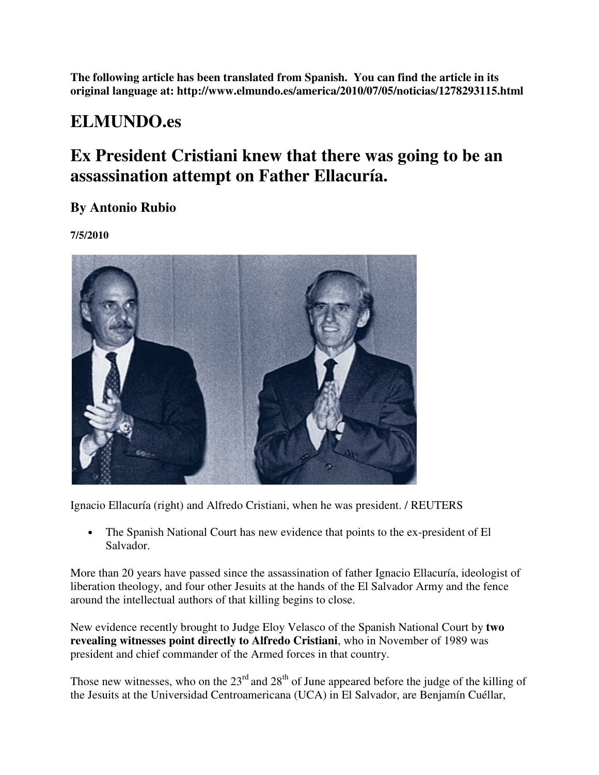**The following article has been translated from Spanish. You can find the article in its original language at: http://www.elmundo.es/america/2010/07/05/noticias/1278293115.html** 

## **ELMUNDO.es**

## **Ex President Cristiani knew that there was going to be an assassination attempt on Father Ellacuría.**

**By Antonio Rubio** 

**7/5/2010** 



Ignacio Ellacuría (right) and Alfredo Cristiani, when he was president. / REUTERS

• The Spanish National Court has new evidence that points to the ex-president of El Salvador.

More than 20 years have passed since the assassination of father Ignacio Ellacuría, ideologist of liberation theology, and four other Jesuits at the hands of the El Salvador Army and the fence around the intellectual authors of that killing begins to close.

New evidence recently brought to Judge Eloy Velasco of the Spanish National Court by **two revealing witnesses point directly to Alfredo Cristiani**, who in November of 1989 was president and chief commander of the Armed forces in that country.

Those new witnesses, who on the  $23<sup>rd</sup>$  and  $28<sup>th</sup>$  of June appeared before the judge of the killing of the Jesuits at the Universidad Centroamericana (UCA) in El Salvador, are Benjamín Cuéllar,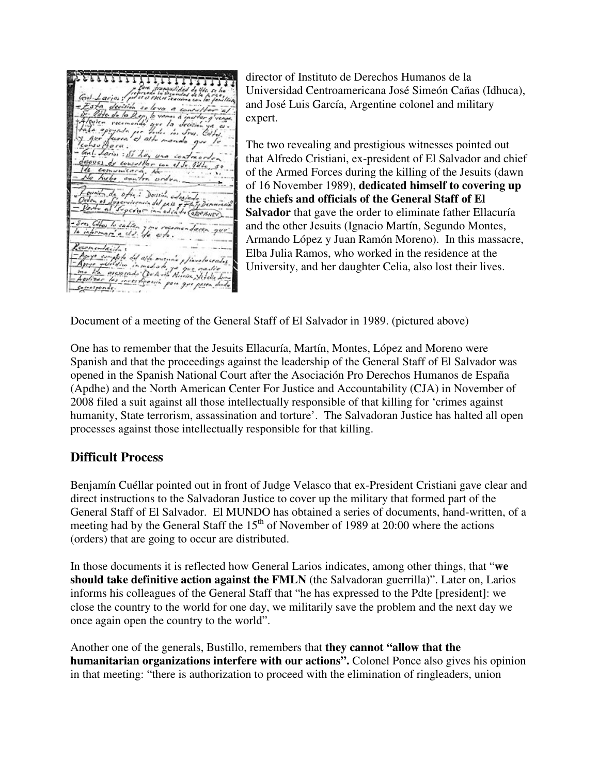decision solova a  $\frac{1}{2}$  de la Rep, le mili que la dec<br>per todos dos Se d alte manda consultar con el Sr. Gil m one de ofici Doción edesin environindel país y y<br>spectro in edición (SEP BHEV) They to sality you reasoned daten que emendación a y ye complete did ath manin , finalecentis. publica in moderni plinale continuale<br>- assassant Que to the Region Stadio<br>- assassant Que to the Region Stadio Lo Apryo yello Gerresponde

director of Instituto de Derechos Humanos de la Universidad Centroamericana José Simeón Cañas (Idhuca), and José Luis García, Argentine colonel and military expert.

The two revealing and prestigious witnesses pointed out that Alfredo Cristiani, ex-president of El Salvador and chief of the Armed Forces during the killing of the Jesuits (dawn of 16 November 1989), **dedicated himself to covering up the chiefs and officials of the General Staff of El Salvador** that gave the order to eliminate father Ellacuría and the other Jesuits (Ignacio Martín, Segundo Montes, Armando López y Juan Ramón Moreno). In this massacre, Elba Julia Ramos, who worked in the residence at the University, and her daughter Celia, also lost their lives.

Document of a meeting of the General Staff of El Salvador in 1989. (pictured above)

One has to remember that the Jesuits Ellacuría, Martín, Montes, López and Moreno were Spanish and that the proceedings against the leadership of the General Staff of El Salvador was opened in the Spanish National Court after the Asociación Pro Derechos Humanos de España (Apdhe) and the North American Center For Justice and Accountability (CJA) in November of 2008 filed a suit against all those intellectually responsible of that killing for 'crimes against humanity, State terrorism, assassination and torture'. The Salvadoran Justice has halted all open processes against those intellectually responsible for that killing.

## **Difficult Process**

Benjamín Cuéllar pointed out in front of Judge Velasco that ex-President Cristiani gave clear and direct instructions to the Salvadoran Justice to cover up the military that formed part of the General Staff of El Salvador. El MUNDO has obtained a series of documents, hand-written, of a meeting had by the General Staff the  $15<sup>th</sup>$  of November of 1989 at 20:00 where the actions (orders) that are going to occur are distributed.

In those documents it is reflected how General Larios indicates, among other things, that "**we should take definitive action against the FMLN** (the Salvadoran guerrilla)". Later on, Larios informs his colleagues of the General Staff that "he has expressed to the Pdte [president]: we close the country to the world for one day, we militarily save the problem and the next day we once again open the country to the world".

Another one of the generals, Bustillo, remembers that **they cannot "allow that the humanitarian organizations interfere with our actions".** Colonel Ponce also gives his opinion in that meeting: "there is authorization to proceed with the elimination of ringleaders, union